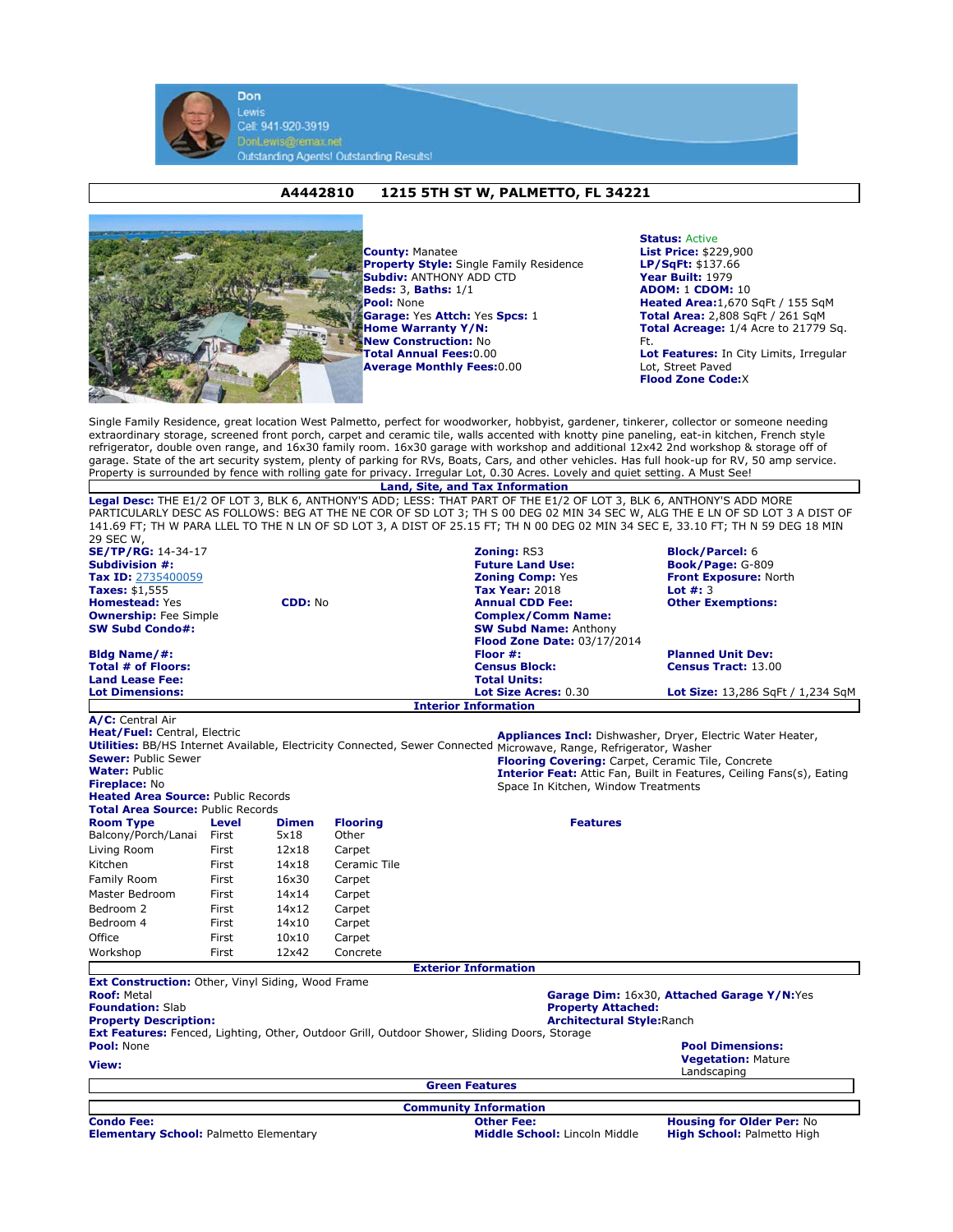

Lewis Cell: 941-920-3919 DonLewis@remax.net<br>Outstanding Agents! Outstanding Results!

## **A4442810 1215 5TH ST W, PALMETTO, FL 34221**



**County:** Manatee **Property Style:** Single Family Residence **Subdiv:** ANTHONY ADD CTD **Beds:** 3, **Baths:** 1/1 **Pool:** None **Garage:** Yes **Attch:** Yes **Spcs:** 1 **Home Warranty Y/N: New Construction:** No **Total Annual Fees:**0.00 **Average Monthly Fees:**0.00

**Status:** Active **List Price:** \$229,900 **LP/SqFt:** \$137.66 **Year Built:** 1979 **ADOM:** 1 **CDOM:** 10 **Heated Area:**1,670 SqFt / 155 SqM **Total Area:** 2,808 SqFt / 261 SqM **Total Acreage:** 1/4 Acre to 21779 Sq. Ft. **Lot Features:** In City Limits, Irregular Lot, Street Paved **Flood Zone Code:**X

Single Family Residence, great location West Palmetto, perfect for woodworker, hobbyist, gardener, tinkerer, collector or someone needing extraordinary storage, screened front porch, carpet and ceramic tile, walls accented with knotty pine paneling, eat-in kitchen, French style refrigerator, double oven range, and 16x30 family room. 16x30 garage with workshop and additional 12x42 2nd workshop & storage off of garage. State of the art security system, plenty of parking for RVs, Boats, Cars, and other vehicles. Has full hook-up for RV, 50 amp service. Property is surrounded by fence with rolling gate for privacy. Irregular Lot, 0.30 Acres. Lovely and quiet setting. A Must See!

**Land, Site, and Tax Information Legal Desc:** THE E1/2 OF LOT 3, BLK 6, ANTHONY'S ADD; LESS: THAT PART OF THE E1/2 OF LOT 3, BLK 6, ANTHONY'S ADD MORE PARTICULARLY DESC AS FOLLOWS: BEG AT THE NE COR OF SD LOT 3; TH S 00 DEG 02 MIN 34 SEC W, ALG THE E LN OF SD LOT 3 A DIST OF 141.69 FT; TH W PARA LLEL TO THE N LN OF SD LOT 3, A DIST OF 25.15 FT; TH N 00 DEG 02 MIN 34 SEC E, 33.10 FT; TH N 59 DEG 18 MIN  $200000000$ 

| 29 JEC W,<br><b>SE/TP/RG:</b> 14-34-17                             |                |                      |                          | <b>Zoning: RS3</b>                                                                                                 | <b>Block/Parcel: 6</b>                                                |  |
|--------------------------------------------------------------------|----------------|----------------------|--------------------------|--------------------------------------------------------------------------------------------------------------------|-----------------------------------------------------------------------|--|
| Subdivision #:                                                     |                |                      |                          | <b>Future Land Use:</b>                                                                                            | Book/Page: G-809                                                      |  |
| Tax ID: 2735400059                                                 |                |                      |                          | <b>Zoning Comp: Yes</b>                                                                                            | <b>Front Exposure: North</b>                                          |  |
| Taxes: \$1,555                                                     |                |                      |                          | <b>Tax Year: 2018</b>                                                                                              | Lot $#: 3$                                                            |  |
| <b>Homestead: Yes</b>                                              |                | <b>CDD: No</b>       |                          | <b>Annual CDD Fee:</b>                                                                                             | <b>Other Exemptions:</b>                                              |  |
| <b>Ownership:</b> Fee Simple                                       |                |                      |                          | <b>Complex/Comm Name:</b>                                                                                          |                                                                       |  |
| <b>SW Subd Condo#:</b>                                             |                |                      |                          | <b>SW Subd Name: Anthony</b>                                                                                       |                                                                       |  |
|                                                                    |                |                      |                          | <b>Flood Zone Date: 03/17/2014</b>                                                                                 |                                                                       |  |
| Bldg Name/#:<br>Total # of Floors:                                 |                |                      |                          | Floor $#$ :                                                                                                        | <b>Planned Unit Dev:</b><br><b>Census Tract: 13.00</b>                |  |
| <b>Land Lease Fee:</b>                                             |                |                      |                          | <b>Census Block:</b><br><b>Total Units:</b>                                                                        |                                                                       |  |
| <b>Lot Dimensions:</b>                                             |                |                      |                          | Lot Size Acres: 0.30                                                                                               | Lot Size: 13,286 SqFt / 1,234 SqM                                     |  |
|                                                                    |                |                      |                          | <b>Interior Information</b>                                                                                        |                                                                       |  |
| A/C: Central Air                                                   |                |                      |                          |                                                                                                                    |                                                                       |  |
| Heat/Fuel: Central, Electric                                       |                |                      |                          |                                                                                                                    | Appliances Incl: Dishwasher, Dryer, Electric Water Heater,            |  |
|                                                                    |                |                      |                          | Utilities: BB/HS Internet Available, Electricity Connected, Sewer Connected Microwave, Range, Refrigerator, Washer |                                                                       |  |
| <b>Sewer: Public Sewer</b>                                         |                |                      |                          | <b>Flooring Covering:</b> Carpet, Ceramic Tile, Concrete                                                           |                                                                       |  |
| <b>Water: Public</b>                                               |                |                      |                          | <b>Interior Feat:</b> Attic Fan, Built in Features, Ceiling Fans(s), Eating                                        |                                                                       |  |
| Fireplace: No                                                      |                |                      |                          | Space In Kitchen, Window Treatments                                                                                |                                                                       |  |
| <b>Heated Area Source: Public Records</b>                          |                |                      |                          |                                                                                                                    |                                                                       |  |
| <b>Total Area Source: Public Records</b>                           |                |                      |                          | <b>Features</b>                                                                                                    |                                                                       |  |
| <b>Room Type</b><br>Balcony/Porch/Lanai                            | Level<br>First | <b>Dimen</b><br>5x18 | <b>Flooring</b><br>Other |                                                                                                                    |                                                                       |  |
|                                                                    |                |                      |                          |                                                                                                                    |                                                                       |  |
| Living Room                                                        | First          | 12x18                | Carpet                   |                                                                                                                    |                                                                       |  |
| Kitchen                                                            | First          | 14x18                | Ceramic Tile             |                                                                                                                    |                                                                       |  |
| Family Room                                                        | First          | 16x30                | Carpet                   |                                                                                                                    |                                                                       |  |
| Master Bedroom                                                     | First          | 14x14                | Carpet                   |                                                                                                                    |                                                                       |  |
| Bedroom 2                                                          | First          | 14x12                | Carpet                   |                                                                                                                    |                                                                       |  |
| Bedroom 4                                                          | First          | 14×10                | Carpet                   |                                                                                                                    |                                                                       |  |
| Office                                                             | First          | 10×10                | Carpet                   |                                                                                                                    |                                                                       |  |
| Workshop                                                           | First          | 12x42                | Concrete                 |                                                                                                                    |                                                                       |  |
|                                                                    |                |                      |                          | <b>Exterior Information</b>                                                                                        |                                                                       |  |
| Ext Construction: Other, Vinyl Siding, Wood Frame                  |                |                      |                          |                                                                                                                    |                                                                       |  |
| <b>Roof: Metal</b>                                                 |                |                      |                          |                                                                                                                    | Garage Dim: 16x30, Attached Garage Y/N:Yes                            |  |
| <b>Foundation: Slab</b>                                            |                |                      |                          | <b>Property Attached:</b>                                                                                          |                                                                       |  |
| <b>Property Description:</b>                                       |                |                      |                          | <b>Architectural Style: Ranch</b>                                                                                  |                                                                       |  |
| Pool: None                                                         |                |                      |                          | Ext Features: Fenced, Lighting, Other, Outdoor Grill, Outdoor Shower, Sliding Doors, Storage                       | <b>Pool Dimensions:</b>                                               |  |
|                                                                    |                |                      |                          |                                                                                                                    | <b>Vegetation: Mature</b>                                             |  |
| View:                                                              |                |                      |                          |                                                                                                                    | Landscaping                                                           |  |
|                                                                    |                |                      |                          | <b>Green Features</b>                                                                                              |                                                                       |  |
|                                                                    |                |                      |                          |                                                                                                                    |                                                                       |  |
|                                                                    |                |                      |                          | <b>Community Information</b>                                                                                       |                                                                       |  |
| <b>Condo Fee:</b><br><b>Elementary School: Palmetto Elementary</b> |                |                      |                          | <b>Other Fee:</b><br>Middle School: Lincoln Middle                                                                 | <b>Housing for Older Per: No</b><br><b>High School: Palmetto High</b> |  |
|                                                                    |                |                      |                          |                                                                                                                    |                                                                       |  |